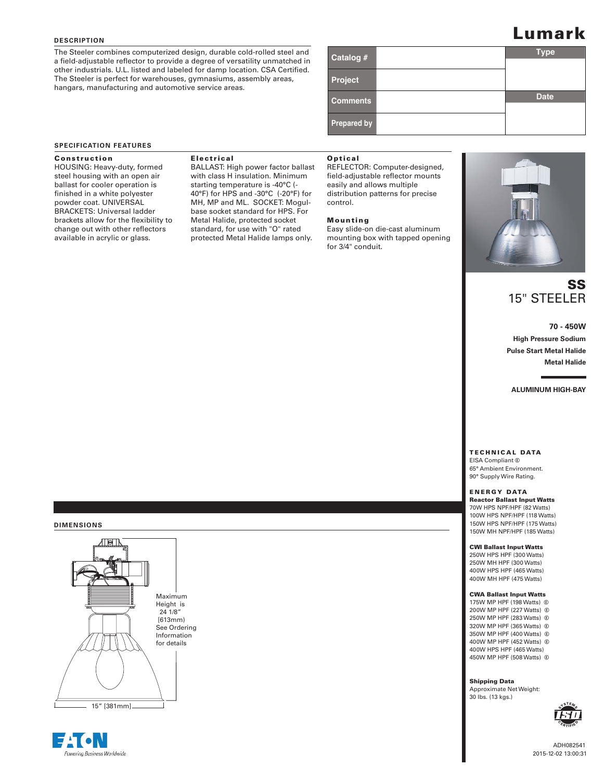#### **DESCRIPTION**

The Steeler combines computerized design, durable cold-rolled steel and a field-adjustable reflector to provide a degree of versatility unmatched in other industrials. U.L. listed and labeled for damp location. CSA Certified. The Steeler is perfect for warehouses, gymnasiums, assembly areas, hangars, manufacturing and automotive service areas.

# **L**umark

| Catalog #          | <b>Type</b> |
|--------------------|-------------|
|                    |             |
| Project            |             |
| <b>Comments</b>    | <b>Date</b> |
|                    |             |
| <b>Prepared by</b> |             |

#### **SPECIFICATION FEATURES**

#### Construction

HOUSING: Heavy-duty, formed steel housing with an open air ballast for cooler operation is finished in a white polyester powder coat. UNIVERSAL BRACKETS: Universal ladder brackets allow for the flexibility to change out with other reflectors available in acrylic or glass.

#### Electrical

BALLAST: High power factor ballast with class H insulation. Minimum starting temperature is -40°C (- 40°F) for HPS and -30°C (-20°F) for MH, MP and ML. SOCKET: Mogulbase socket standard for HPS. For Metal Halide, protected socket standard, for use with "O" rated protected Metal Halide lamps only.

#### Optical

REFLECTOR: Computer-designed, field-adjustable reflector mounts easily and allows multiple distribution patterns for precise control.

#### Mounting

Easy slide-on die-cast aluminum mounting box with tapped opening for 3/4" conduit.



# SS 15" STEELER

**70 - 450W High Pressure Sodium Pulse Start Metal Halide Metal Halide**

**ALUMINUM HIGH-BAY**

TECHNICAL DATA EISA Compliant G

65° Ambient Environment. 90° Supply Wire Rating.

## ENERGY DATA

Reactor Ballast Input Watts 70W HPS NPF/HPF (82 Watts) 100W HPS NPF/HPF (118 Watts) 150W HPS NPF/HPF (175 Watts) 150W MH NPF/HPF (185 Watts)

#### CWI Ballast Input Watts

250W HPS HPF (300 Watts) 250W MH HPF (300 Watts) 400W HPS HPF (465 Watts) 400W MH HPF (475 Watts)

#### CWA Ballast Input Watts

175W MP HPF (198 Watts) G 200W MP HPF (227 Watts) G 250W MP HPF (283 Watts) G 320W MP HPF (365 Watts) G 350W MP HPF (400 Watts) G 400W MP HPF (452 Watts) G 400W HPS HPF (465 Watts) 450W MP HPF (508 Watts) G

Shipping Data

Approximate Net Weight: 30 lbs. (13 kgs.)





**DIMENSIONS**

15" [381mm]

Maximum Height is 24 1/8" [613mm) See Ordering Information for details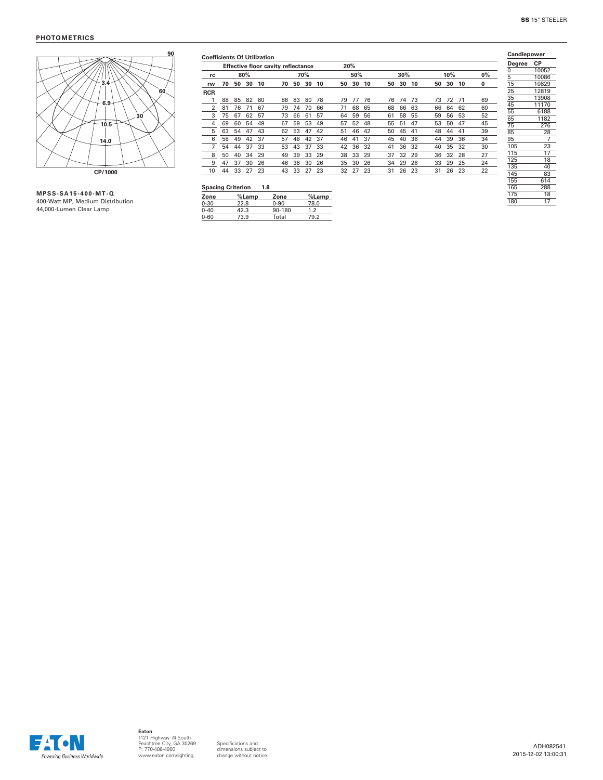

| <b>Coefficients Of Utilization</b> |    |    |       |     |                                           |    |     |       |    |     |    |    |     |    |    |     |    |    | Candlepower |                |
|------------------------------------|----|----|-------|-----|-------------------------------------------|----|-----|-------|----|-----|----|----|-----|----|----|-----|----|----|-------------|----------------|
|                                    |    |    |       |     | <b>Effective floor cavity reflectance</b> |    |     |       |    | 20% |    |    |     |    |    |     |    |    | Degree      | СP             |
| rc                                 |    |    | 80%   |     |                                           |    | 70% |       |    | 50% |    |    | 30% |    |    | 10% |    | 0% | 0           | 10052          |
| rw                                 | 70 | 50 | 30    | 10  | 70                                        | 50 | 30  | 10    | 50 | 30  | 10 | 50 | 30  | 10 | 50 | 30  | 10 | 0  | 5<br>15     | 10086<br>10829 |
| <b>RCR</b>                         |    |    |       |     |                                           |    |     |       |    |     |    |    |     |    |    |     |    |    | 25          | 12819          |
|                                    | 88 | 85 | 82    | 80  | 86                                        | 83 | 80  | 78    | 79 | 77  | 76 | 76 | 74  | 73 | 73 | 72  | 71 | 69 | 35          | 13908          |
| $\overline{2}$                     | 81 | 76 | 71    | 67  | 79                                        | 74 | 70  | 66    | 71 | 68  | 65 | 68 | 66  | 63 | 66 | 64  | 62 | 60 | 45          | 11170          |
| 3                                  | 75 | 67 | 62    | 57  | 73                                        | 66 | 61  | 57    | 64 | 59  | 56 | 61 | 58  | 55 | 59 | 56  | 53 | 52 | 55          | 6188           |
|                                    |    |    |       |     |                                           |    |     |       |    |     |    |    |     |    |    |     |    |    | 65          | 1182           |
| 4                                  | 69 | 60 | 54    | 49  | 67                                        | 59 | 53  | 49    | 57 | 52  | 48 | 55 | 51  | 47 | 53 | 50  | 47 | 45 | 75          | 276            |
| 5                                  | 63 | 54 | 47    | 43  | 62                                        | 53 | 47  | 42    | 51 | 46  | 42 | 50 | 45  | 41 | 48 | 44  | 41 | 39 | 85          | 28             |
| 6                                  | 58 | 49 | 42    | 37  | 57                                        | 48 | 42  | 37    | 46 | 41  | 37 | 45 | 40  | 36 | 44 | 39  | 36 | 34 | 95          | 7              |
|                                    | 54 | 44 | 37    | 33  | 53                                        | 43 | 37  | 33    | 42 | 36  | 32 | 41 | 36  | 32 | 40 | 35  | 32 | 30 | 105         | 23             |
| 8                                  | 50 | 40 | 34    | 29  | 49                                        | 39 | 33  | 29    | 38 | 33  | 29 | 37 | 32  | 29 | 36 | 32  | 28 | 27 | 115         | 17             |
| 9                                  | 47 | 37 | 30    | 26  | 46                                        | 36 | 30  | 26    | 35 | 30  | 26 | 34 | 29  | 26 | 33 | 29  | 25 | 24 | 125         | 18             |
|                                    |    |    |       |     |                                           |    |     |       |    |     |    |    |     |    |    |     |    |    | 135         | 40             |
| 10                                 | 44 | 33 | 27    | 23  | 43                                        | 33 | 27  | 23    | 32 | 27  | 23 | 31 | 26  | 23 | 31 | 26  | 23 | 22 | 145         | 83             |
|                                    |    |    |       |     |                                           |    |     |       |    |     |    |    |     |    |    |     |    |    | 155         | 614            |
| <b>Spacing Criterion</b>           |    |    |       | 1.8 |                                           |    |     |       |    |     |    |    |     |    |    |     |    |    | 165         | 288            |
| Zone                               |    |    | %Lamp |     | Zone                                      |    |     | %Lamp |    |     |    |    |     |    |    |     |    |    | 175         | 18             |
| $0 - 30$                           |    |    | 22R   |     | 0.90                                      |    |     | 78 N  |    |     |    |    |     |    |    |     |    |    | 180         | 17             |

| <b>MPSS-SA15-400-MT-Q</b>        |  |  |  |  |  |  |  |  |  |  |
|----------------------------------|--|--|--|--|--|--|--|--|--|--|
| 400-Watt MP. Medium Distribution |  |  |  |  |  |  |  |  |  |  |
| 44,000-Lumen Clear Lamp          |  |  |  |  |  |  |  |  |  |  |

|          | <b>Spacing Criterion</b> | 1.8      |       |
|----------|--------------------------|----------|-------|
| Zone     | %Lamp                    | Zone     | %Lamp |
| $0 - 30$ | 22.8                     | $0 - 90$ | 78.0  |
| $0 - 40$ | 42.3                     | 90-180   | 1.2   |
| $0 - 60$ | 73.9                     | Total    | 79.2  |
|          |                          |          |       |



Specifications and dimensions subject to change without notice.